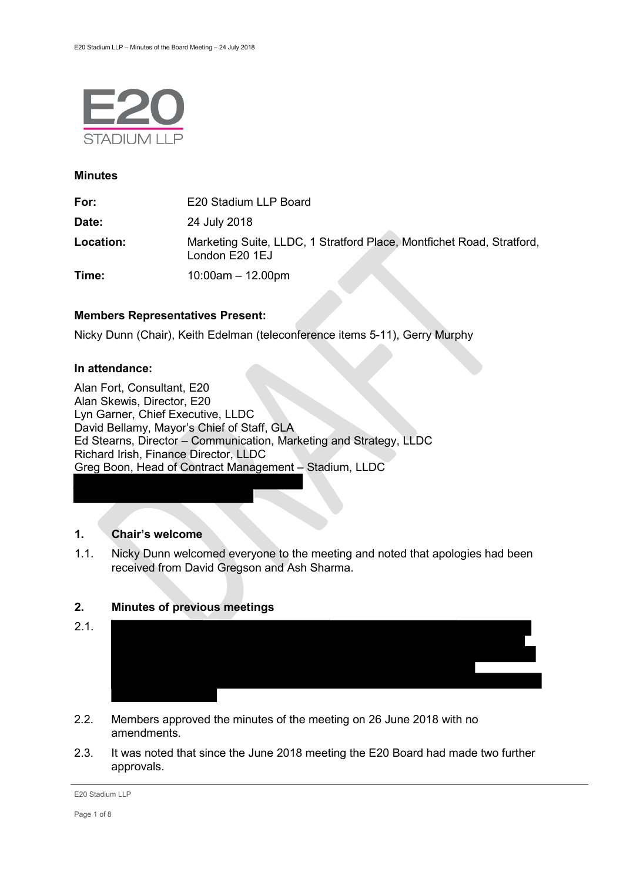

#### **Minutes**

| For:      | E20 Stadium LLP Board                                                                   |
|-----------|-----------------------------------------------------------------------------------------|
| Date:     | 24 July 2018                                                                            |
| Location: | Marketing Suite, LLDC, 1 Stratford Place, Montfichet Road, Stratford,<br>London E20 1EJ |
| Time:     | $10:00$ am $-12.00$ pm                                                                  |

## **Members Representatives Present:**

Nicky Dunn (Chair), Keith Edelman (teleconference items 5-11), Gerry Murphy

#### **In attendance:**

Alan Fort, Consultant, E20 Alan Skewis, Director, E20 Lyn Garner, Chief Executive, LLDC David Bellamy, Mayor's Chief of Staff, GLA Ed Stearns, Director – Communication, Marketing and Strategy, LLDC Richard Irish, Finance Director, LLDC Greg Boon, Head of Contract Management – Stadium, LLDC

## **1. Chair's welcome**

1.1. Nicky Dunn welcomed everyone to the meeting and noted that apologies had been received from David Gregson and Ash Sharma.

# **2. Minutes of previous meetings**



- 2.2. Members approved the minutes of the meeting on 26 June 2018 with no amendments.
- 2.3. It was noted that since the June 2018 meeting the E20 Board had made two further approvals.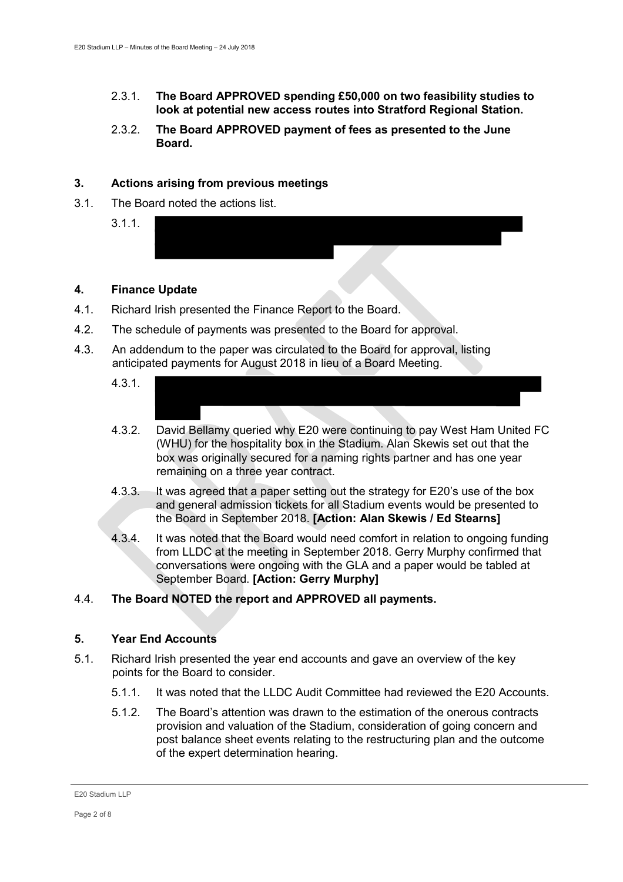- 2.3.1. **The Board APPROVED spending £50,000 on two feasibility studies to look at potential new access routes into Stratford Regional Station.**
- 2.3.2. **The Board APPROVED payment of fees as presented to the June Board.**

# **3. Actions arising from previous meetings**

3.1. The Board noted the actions list.

3.1.1.

## **4. Finance Update**

- 4.1. Richard Irish presented the Finance Report to the Board.
- 4.2. The schedule of payments was presented to the Board for approval.
- 4.3. An addendum to the paper was circulated to the Board for approval, listing anticipated payments for August 2018 in lieu of a Board Meeting.
	- 4.3.1.
	- 4.3.2. David Bellamy queried why E20 were continuing to pay West Ham United FC (WHU) for the hospitality box in the Stadium. Alan Skewis set out that the box was originally secured for a naming rights partner and has one year remaining on a three year contract.
	- 4.3.3. It was agreed that a paper setting out the strategy for E20's use of the box and general admission tickets for all Stadium events would be presented to the Board in September 2018. **[Action: Alan Skewis / Ed Stearns]**
	- 4.3.4. It was noted that the Board would need comfort in relation to ongoing funding from LLDC at the meeting in September 2018. Gerry Murphy confirmed that conversations were ongoing with the GLA and a paper would be tabled at September Board. **[Action: Gerry Murphy]**

## 4.4. **The Board NOTED the report and APPROVED all payments.**

## **5. Year End Accounts**

- 5.1. Richard Irish presented the year end accounts and gave an overview of the key points for the Board to consider.
	- 5.1.1. It was noted that the LLDC Audit Committee had reviewed the E20 Accounts.
	- 5.1.2. The Board's attention was drawn to the estimation of the onerous contracts provision and valuation of the Stadium, consideration of going concern and post balance sheet events relating to the restructuring plan and the outcome of the expert determination hearing.

E20 Stadium LLP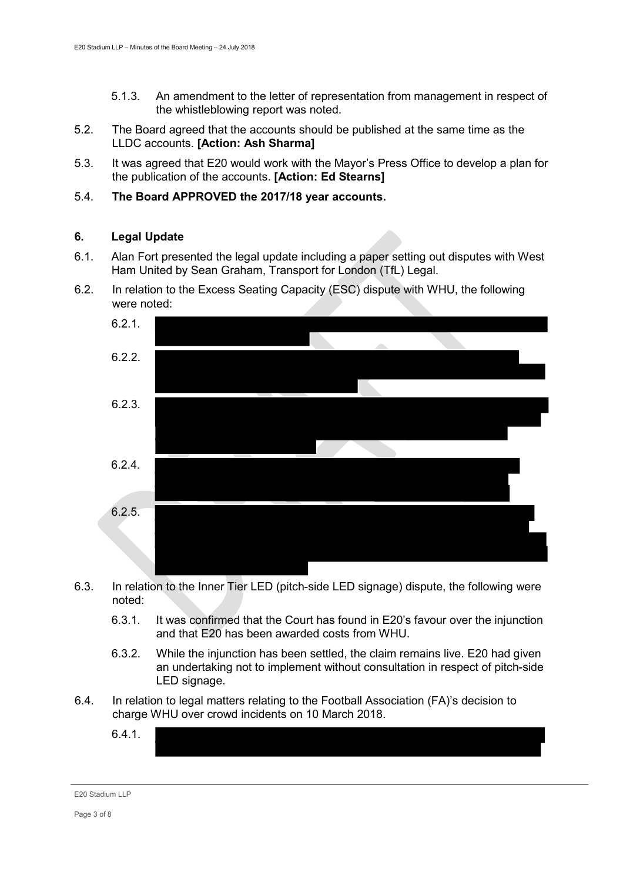- 5.1.3. An amendment to the letter of representation from management in respect of the whistleblowing report was noted.
- 5.2. The Board agreed that the accounts should be published at the same time as the LLDC accounts. **[Action: Ash Sharma]**
- 5.3. It was agreed that E20 would work with the Mayor's Press Office to develop a plan for the publication of the accounts. **[Action: Ed Stearns]**
- 5.4. **The Board APPROVED the 2017/18 year accounts.**

# **6. Legal Update**

- 6.1. Alan Fort presented the legal update including a paper setting out disputes with West Ham United by Sean Graham, Transport for London (TfL) Legal.
- 6.2. In relation to the Excess Seating Capacity (ESC) dispute with WHU, the following were noted:



- 6.3. In relation to the Inner Tier LED (pitch-side LED signage) dispute, the following were noted:
	- 6.3.1. It was confirmed that the Court has found in E20's favour over the injunction and that E20 has been awarded costs from WHU.
	- 6.3.2. While the injunction has been settled, the claim remains live. E20 had given an undertaking not to implement without consultation in respect of pitch-side LED signage.
- 6.4. In relation to legal matters relating to the Football Association (FA)'s decision to charge WHU over crowd incidents on 10 March 2018.
	- 6.4.1.

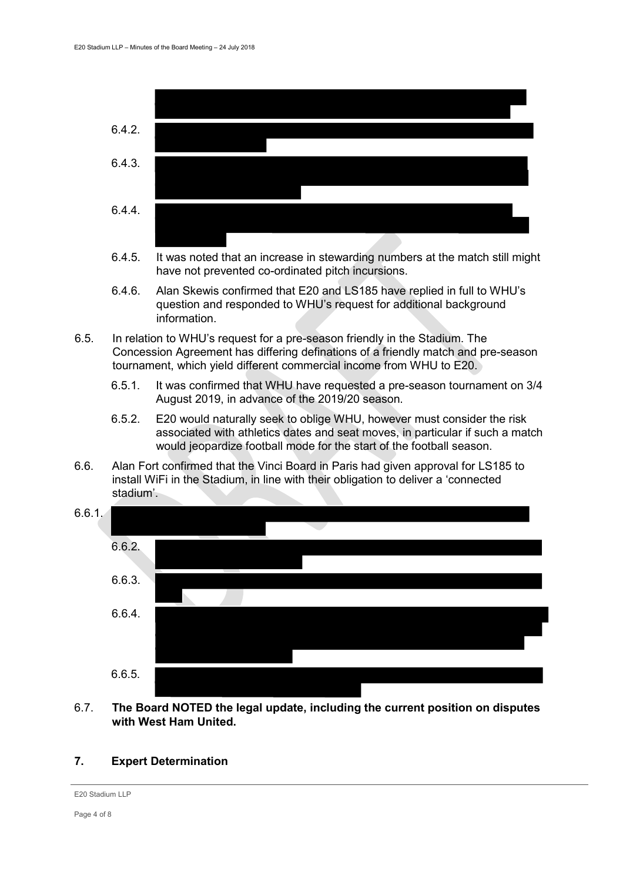

- 6.4.5. It was noted that an increase in stewarding numbers at the match still might have not prevented co-ordinated pitch incursions.
- 6.4.6. Alan Skewis confirmed that E20 and LS185 have replied in full to WHU's question and responded to WHU's request for additional background information.
- 6.5. In relation to WHU's request for a pre-season friendly in the Stadium. The Concession Agreement has differing definations of a friendly match and pre-season tournament, which yield different commercial income from WHU to E20.
	- 6.5.1. It was confirmed that WHU have requested a pre-season tournament on 3/4 August 2019, in advance of the 2019/20 season.
	- 6.5.2. E20 would naturally seek to oblige WHU, however must consider the risk associated with athletics dates and seat moves, in particular if such a match would jeopardize football mode for the start of the football season.
- 6.6. Alan Fort confirmed that the Vinci Board in Paris had given approval for LS185 to install WiFi in the Stadium, in line with their obligation to deliver a 'connected stadium'.



6.7. **The Board NOTED the legal update, including the current position on disputes with West Ham United.**

## **7. Expert Determination**

```
E20 Stadium LLP
```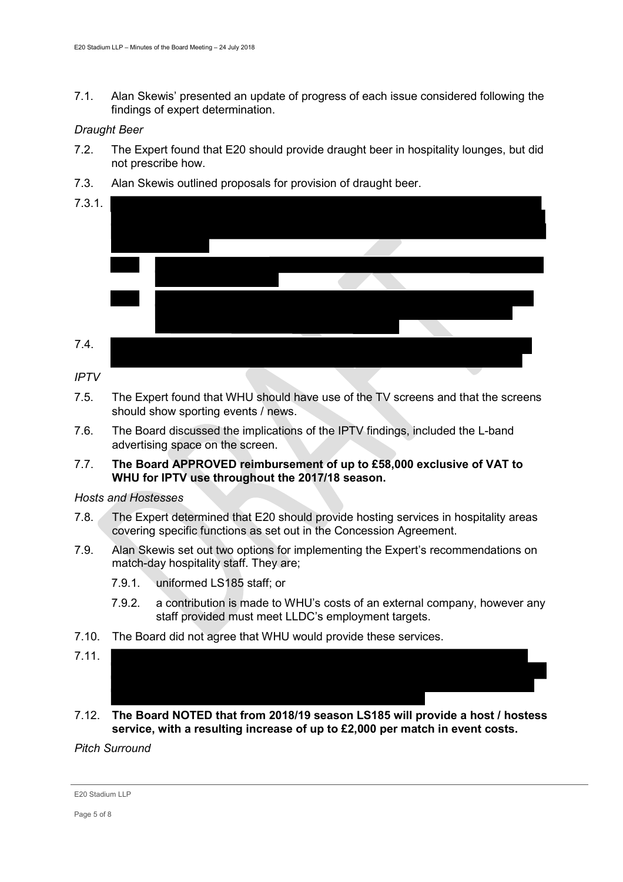7.1. Alan Skewis' presented an update of progress of each issue considered following the findings of expert determination.

## *Draught Beer*

- 7.2. The Expert found that E20 should provide draught beer in hospitality lounges, but did not prescribe how.
- 7.3. Alan Skewis outlined proposals for provision of draught beer.
- 7.3.1. 7.4.

*IPTV*

- 7.5. The Expert found that WHU should have use of the TV screens and that the screens should show sporting events / news.
- 7.6. The Board discussed the implications of the IPTV findings, included the L-band advertising space on the screen.
- 7.7. **The Board APPROVED reimbursement of up to £58,000 exclusive of VAT to WHU for IPTV use throughout the 2017/18 season.**

## *Hosts and Hostesses*

- 7.8. The Expert determined that E20 should provide hosting services in hospitality areas covering specific functions as set out in the Concession Agreement.
- 7.9. Alan Skewis set out two options for implementing the Expert's recommendations on match-day hospitality staff. They are;
	- 7.9.1. uniformed LS185 staff; or
	- 7.9.2. a contribution is made to WHU's costs of an external company, however any staff provided must meet LLDC's employment targets.
- 7.10. The Board did not agree that WHU would provide these services.
- 7.11.
- 7.12. **The Board NOTED that from 2018/19 season LS185 will provide a host / hostess service, with a resulting increase of up to £2,000 per match in event costs.**

*Pitch Surround*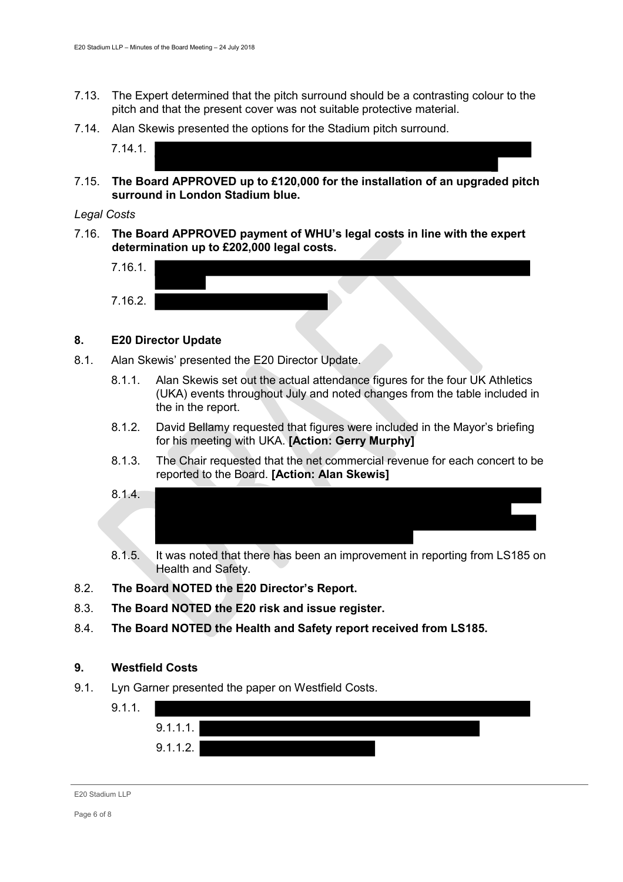- 7.13. The Expert determined that the pitch surround should be a contrasting colour to the pitch and that the present cover was not suitable protective material.
- 7.14. Alan Skewis presented the options for the Stadium pitch surround.

7.14.1.

7.15. **The Board APPROVED up to £120,000 for the installation of an upgraded pitch surround in London Stadium blue.**

#### *Legal Costs*

7.16. **The Board APPROVED payment of WHU's legal costs in line with the expert determination up to £202,000 legal costs.** 



## **8. E20 Director Update**

- 8.1. Alan Skewis' presented the E20 Director Update.
	- 8.1.1. Alan Skewis set out the actual attendance figures for the four UK Athletics (UKA) events throughout July and noted changes from the table included in the in the report.
	- 8.1.2. David Bellamy requested that figures were included in the Mayor's briefing for his meeting with UKA. **[Action: Gerry Murphy]**
	- 8.1.3. The Chair requested that the net commercial revenue for each concert to be reported to the Board. **[Action: Alan Skewis]**



- 8.1.5. It was noted that there has been an improvement in reporting from LS185 on Health and Safety.
- 8.2. **The Board NOTED the E20 Director's Report.**
- 8.3. **The Board NOTED the E20 risk and issue register.**
- 8.4. **The Board NOTED the Health and Safety report received from LS185.**

## **9. Westfield Costs**

9.1. Lyn Garner presented the paper on Westfield Costs.

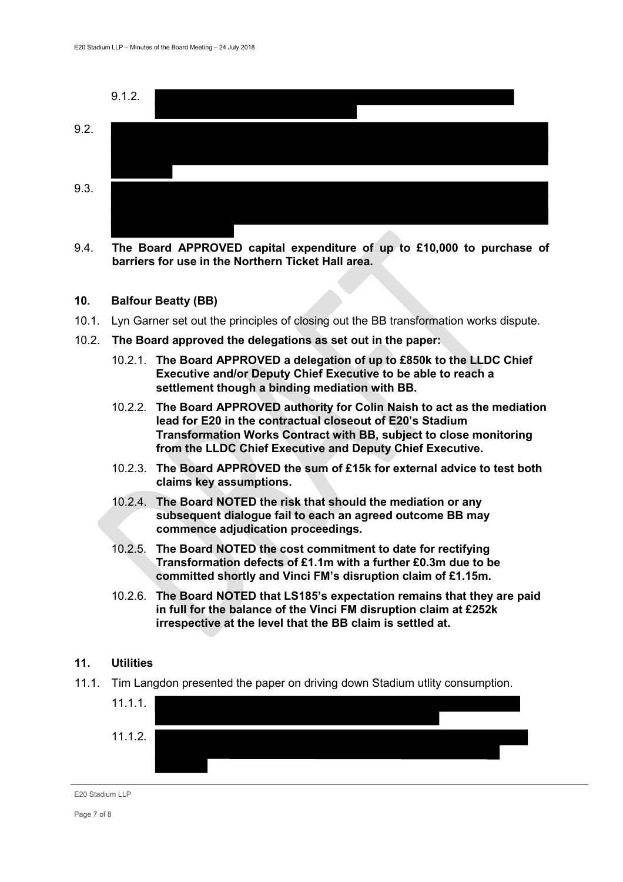

9.4. **The Board APPROVED capital expenditure of up to £10,000 to purchase of barriers for use in the Northern Ticket Hall area.**

#### **10. Balfour Beatty (BB)**

- 10.1. Lyn Garner set out the principles of closing out the BB transformation works dispute.
- 10.2. **The Board approved the delegations as set out in the paper:**
	- 10.2.1. **The Board APPROVED a delegation of up to £850k to the LLDC Chief Executive and/or Deputy Chief Executive to be able to reach a settlement though a binding mediation with BB.**
	- 10.2.2. **The Board APPROVED authority for Colin Naish to act as the mediation lead for E20 in the contractual closeout of E20's Stadium Transformation Works Contract with BB, subject to close monitoring from the LLDC Chief Executive and Deputy Chief Executive.**
	- 10.2.3. **The Board APPROVED the sum of £15k for external advice to test both claims key assumptions.**
	- 10.2.4. **The Board NOTED the risk that should the mediation or any subsequent dialogue fail to each an agreed outcome BB may commence adjudication proceedings.**
	- 10.2.5. **The Board NOTED the cost commitment to date for rectifying Transformation defects of £1.1m with a further £0.3m due to be committed shortly and Vinci FM's disruption claim of £1.15m.**
	- 10.2.6. **The Board NOTED that LS185's expectation remains that they are paid in full for the balance of the Vinci FM disruption claim at £252k irrespective at the level that the BB claim is settled at.**

#### **11. Utilities**

11.1. Tim Langdon presented the paper on driving down Stadium utlity consumption.